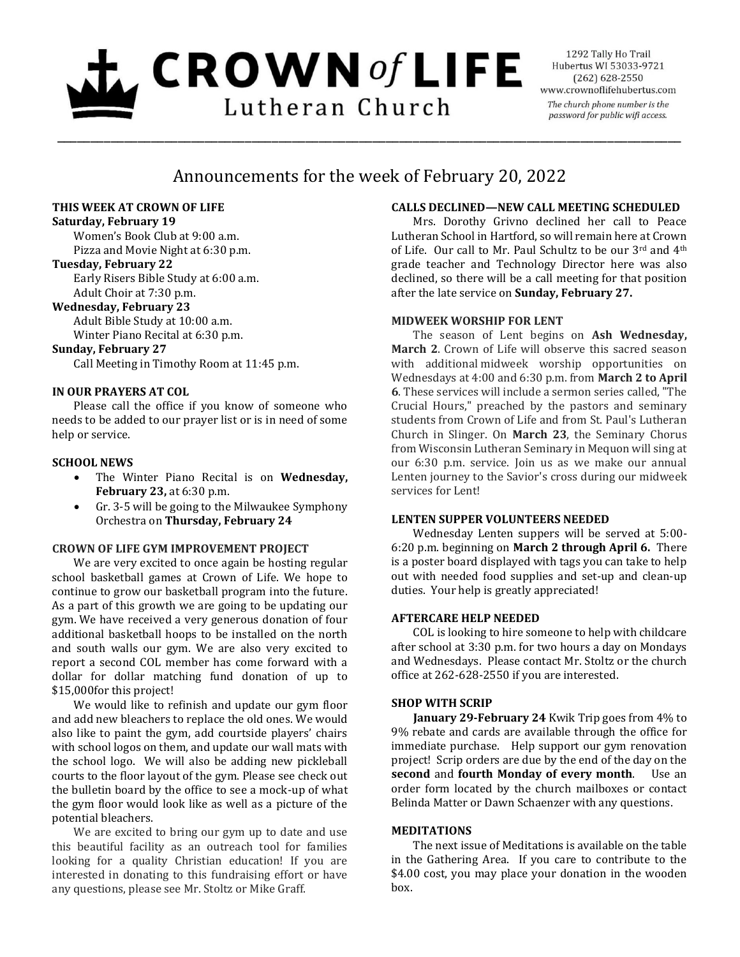# $L$  CROWN of LIFE Lutheran Church

1292 Tally Ho Trail Hubertus WI 53033-9721  $(262)$  628-2550 www.crownoflifehubertus.com The church phone number is the password for public wifi access.

# Announcements for the week of February 20, 2022

\_\_\_\_\_\_\_\_\_\_\_\_\_\_\_\_\_\_\_\_\_\_\_\_\_\_\_\_\_\_\_\_\_\_\_\_\_\_\_\_\_\_\_\_\_\_\_\_\_\_\_\_\_\_\_\_\_\_\_\_\_\_\_\_\_\_\_\_\_\_\_\_\_\_\_\_\_\_\_\_\_\_\_\_\_\_\_\_\_\_\_\_\_

# **THIS WEEK AT CROWN OF LIFE**

## **Saturday, February 19**

Women's Book Club at 9:00 a.m. Pizza and Movie Night at 6:30 p.m.

# **Tuesday, February 22**

Early Risers Bible Study at 6:00 a.m. Adult Choir at 7:30 p.m.

# **Wednesday, February 23**

Adult Bible Study at 10:00 a.m. Winter Piano Recital at 6:30 p.m.

#### **Sunday, February 27**

Call Meeting in Timothy Room at 11:45 p.m.

# **IN OUR PRAYERS AT COL**

Please call the office if you know of someone who needs to be added to our prayer list or is in need of some help or service.

# **SCHOOL NEWS**

- The Winter Piano Recital is on **Wednesday, February 23,** at 6:30 p.m.
- Gr. 3-5 will be going to the Milwaukee Symphony Orchestra on **Thursday, February 24**

# **CROWN OF LIFE GYM IMPROVEMENT PROJECT**

We are very excited to once again be hosting regular school basketball games at Crown of Life. We hope to continue to grow our basketball program into the future. As a part of this growth we are going to be updating our gym. We have received a very generous donation of four additional basketball hoops to be installed on the north and south walls our gym. We are also very excited to report a second COL member has come forward with a dollar for dollar matching fund donation of up to \$15,000for this project!

We would like to refinish and update our gym floor and add new bleachers to replace the old ones. We would also like to paint the gym, add courtside players' chairs with school logos on them, and update our wall mats with the school logo. We will also be adding new pickleball courts to the floor layout of the gym. Please see check out the bulletin board by the office to see a mock-up of what the gym floor would look like as well as a picture of the potential bleachers.

We are excited to bring our gym up to date and use this beautiful facility as an outreach tool for families looking for a quality Christian education! If you are interested in donating to this fundraising effort or have any questions, please see Mr. Stoltz or Mike Graff.

# **CALLS DECLINED—NEW CALL MEETING SCHEDULED**

Mrs. Dorothy Grivno declined her call to Peace Lutheran School in Hartford, so will remain here at Crown of Life. Our call to Mr. Paul Schultz to be our 3rd and 4th grade teacher and Technology Director here was also declined, so there will be a call meeting for that position after the late service on **Sunday, February 27.**

# **MIDWEEK WORSHIP FOR LENT**

The season of Lent begins on **Ash Wednesday, March 2**. Crown of Life will observe this sacred season with additional midweek worship opportunities on Wednesdays at 4:00 and 6:30 p.m. from **March 2 to April 6**. These services will include a sermon series called, "The Crucial Hours," preached by the pastors and seminary students from Crown of Life and from St. Paul's Lutheran Church in Slinger. On **March 23**, the Seminary Chorus from Wisconsin Lutheran Seminary in Mequon will sing at our 6:30 p.m. service. Join us as we make our annual Lenten journey to the Savior's cross during our midweek services for Lent!

# **LENTEN SUPPER VOLUNTEERS NEEDED**

Wednesday Lenten suppers will be served at 5:00- 6:20 p.m. beginning on **March 2 through April 6.** There is a poster board displayed with tags you can take to help out with needed food supplies and set-up and clean-up duties. Your help is greatly appreciated!

# **AFTERCARE HELP NEEDED**

COL is looking to hire someone to help with childcare after school at 3:30 p.m. for two hours a day on Mondays and Wednesdays. Please contact Mr. Stoltz or the church office at 262-628-2550 if you are interested.

# **SHOP WITH SCRIP**

**January 29-February 24** Kwik Trip goes from 4% to 9% rebate and cards are available through the office for immediate purchase. Help support our gym renovation project! Scrip orders are due by the end of the day on the **second** and **fourth Monday of every month**. Use an order form located by the church mailboxes or contact Belinda Matter or Dawn Schaenzer with any questions.

# **MEDITATIONS**

The next issue of Meditations is available on the table in the Gathering Area. If you care to contribute to the \$4.00 cost, you may place your donation in the wooden box.